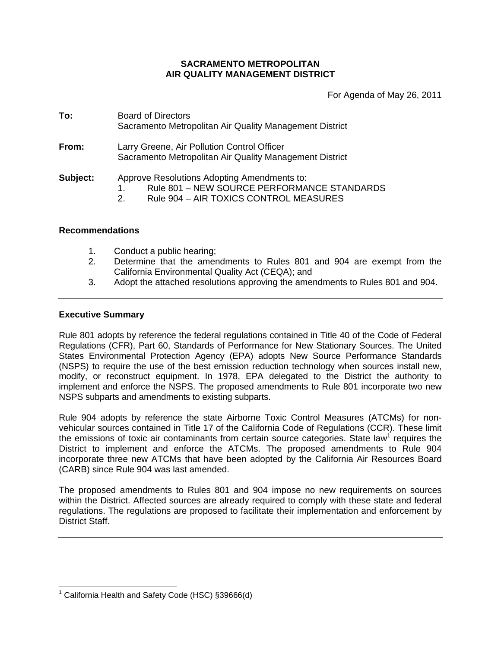# **SACRAMENTO METROPOLITAN AIR QUALITY MANAGEMENT DISTRICT**

For Agenda of May 26, 2011

| To:      | <b>Board of Directors</b><br>Sacramento Metropolitan Air Quality Management District                                                             |
|----------|--------------------------------------------------------------------------------------------------------------------------------------------------|
| From:    | Larry Greene, Air Pollution Control Officer<br>Sacramento Metropolitan Air Quality Management District                                           |
| Subject: | Approve Resolutions Adopting Amendments to:<br>Rule 801 - NEW SOURCE PERFORMANCE STANDARDS<br>1.<br>Rule 904 - AIR TOXICS CONTROL MEASURES<br>2. |

### **Recommendations**

- 1. Conduct a public hearing;
- 2. Determine that the amendments to Rules 801 and 904 are exempt from the California Environmental Quality Act (CEQA); and
- 3. Adopt the attached resolutions approving the amendments to Rules 801 and 904.

# **Executive Summary**

 $\overline{a}$ 

Rule 801 adopts by reference the federal regulations contained in Title 40 of the Code of Federal Regulations (CFR), Part 60, Standards of Performance for New Stationary Sources. The United States Environmental Protection Agency (EPA) adopts New Source Performance Standards (NSPS) to require the use of the best emission reduction technology when sources install new, modify, or reconstruct equipment. In 1978, EPA delegated to the District the authority to implement and enforce the NSPS. The proposed amendments to Rule 801 incorporate two new NSPS subparts and amendments to existing subparts.

Rule 904 adopts by reference the state Airborne Toxic Control Measures (ATCMs) for nonvehicular sources contained in Title 17 of the California Code of Regulations (CCR). These limit the emissions of toxic air contaminants from certain source categories. State law<sup>1</sup> requires the District to implement and enforce the ATCMs. The proposed amendments to Rule 904 incorporate three new ATCMs that have been adopted by the California Air Resources Board (CARB) since Rule 904 was last amended.

The proposed amendments to Rules 801 and 904 impose no new requirements on sources within the District. Affected sources are already required to comply with these state and federal regulations. The regulations are proposed to facilitate their implementation and enforcement by District Staff.

<sup>&</sup>lt;sup>1</sup> California Health and Safety Code (HSC) §39666(d)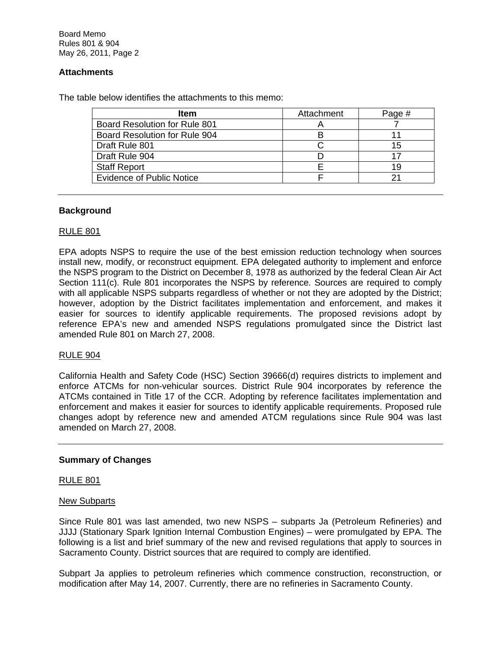# **Attachments**

The table below identifies the attachments to this memo:

| ltem                                 | Attachment | Page # |
|--------------------------------------|------------|--------|
| <b>Board Resolution for Rule 801</b> |            |        |
| Board Resolution for Rule 904        |            |        |
| Draft Rule 801                       |            | 15     |
| Draft Rule 904                       |            | -17    |
| <b>Staff Report</b>                  |            | 19     |
| <b>Evidence of Public Notice</b>     |            |        |

# **Background**

### RULE 801

EPA adopts NSPS to require the use of the best emission reduction technology when sources install new, modify, or reconstruct equipment. EPA delegated authority to implement and enforce the NSPS program to the District on December 8, 1978 as authorized by the federal Clean Air Act Section 111(c). Rule 801 incorporates the NSPS by reference. Sources are required to comply with all applicable NSPS subparts regardless of whether or not they are adopted by the District; however, adoption by the District facilitates implementation and enforcement, and makes it easier for sources to identify applicable requirements. The proposed revisions adopt by reference EPA's new and amended NSPS regulations promulgated since the District last amended Rule 801 on March 27, 2008.

#### RULE 904

California Health and Safety Code (HSC) Section 39666(d) requires districts to implement and enforce ATCMs for non-vehicular sources. District Rule 904 incorporates by reference the ATCMs contained in Title 17 of the CCR. Adopting by reference facilitates implementation and enforcement and makes it easier for sources to identify applicable requirements. Proposed rule changes adopt by reference new and amended ATCM regulations since Rule 904 was last amended on March 27, 2008.

# **Summary of Changes**

### RULE 801

#### New Subparts

Since Rule 801 was last amended, two new NSPS – subparts Ja (Petroleum Refineries) and JJJJ (Stationary Spark Ignition Internal Combustion Engines) – were promulgated by EPA. The following is a list and brief summary of the new and revised regulations that apply to sources in Sacramento County. District sources that are required to comply are identified.

Subpart Ja applies to petroleum refineries which commence construction, reconstruction, or modification after May 14, 2007. Currently, there are no refineries in Sacramento County.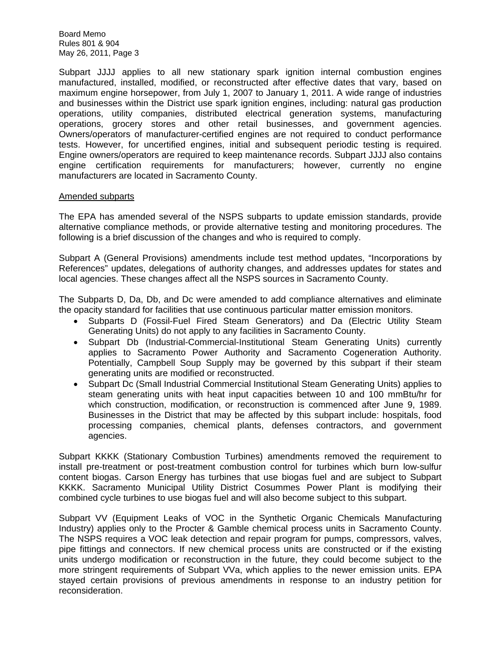Subpart JJJJ applies to all new stationary spark ignition internal combustion engines manufactured, installed, modified, or reconstructed after effective dates that vary, based on maximum engine horsepower, from July 1, 2007 to January 1, 2011. A wide range of industries and businesses within the District use spark ignition engines, including: natural gas production operations, utility companies, distributed electrical generation systems, manufacturing operations, grocery stores and other retail businesses, and government agencies. Owners/operators of manufacturer-certified engines are not required to conduct performance tests. However, for uncertified engines, initial and subsequent periodic testing is required. Engine owners/operators are required to keep maintenance records. Subpart JJJJ also contains engine certification requirements for manufacturers; however, currently no engine manufacturers are located in Sacramento County.

# Amended subparts

The EPA has amended several of the NSPS subparts to update emission standards, provide alternative compliance methods, or provide alternative testing and monitoring procedures. The following is a brief discussion of the changes and who is required to comply.

Subpart A (General Provisions) amendments include test method updates, "Incorporations by References" updates, delegations of authority changes, and addresses updates for states and local agencies. These changes affect all the NSPS sources in Sacramento County.

The Subparts D, Da, Db, and Dc were amended to add compliance alternatives and eliminate the opacity standard for facilities that use continuous particular matter emission monitors.

- Subparts D (Fossil-Fuel Fired Steam Generators) and Da (Electric Utility Steam Generating Units) do not apply to any facilities in Sacramento County.
- Subpart Db (Industrial-Commercial-Institutional Steam Generating Units) currently applies to Sacramento Power Authority and Sacramento Cogeneration Authority. Potentially, Campbell Soup Supply may be governed by this subpart if their steam generating units are modified or reconstructed.
- Subpart Dc (Small Industrial Commercial Institutional Steam Generating Units) applies to steam generating units with heat input capacities between 10 and 100 mmBtu/hr for which construction, modification, or reconstruction is commenced after June 9, 1989. Businesses in the District that may be affected by this subpart include: hospitals, food processing companies, chemical plants, defenses contractors, and government agencies.

Subpart KKKK (Stationary Combustion Turbines) amendments removed the requirement to install pre-treatment or post-treatment combustion control for turbines which burn low-sulfur content biogas. Carson Energy has turbines that use biogas fuel and are subject to Subpart KKKK. Sacramento Municipal Utility District Cosummes Power Plant is modifying their combined cycle turbines to use biogas fuel and will also become subject to this subpart.

Subpart VV (Equipment Leaks of VOC in the Synthetic Organic Chemicals Manufacturing Industry) applies only to the Procter & Gamble chemical process units in Sacramento County. The NSPS requires a VOC leak detection and repair program for pumps, compressors, valves, pipe fittings and connectors. If new chemical process units are constructed or if the existing units undergo modification or reconstruction in the future, they could become subject to the more stringent requirements of Subpart VVa, which applies to the newer emission units. EPA stayed certain provisions of previous amendments in response to an industry petition for reconsideration.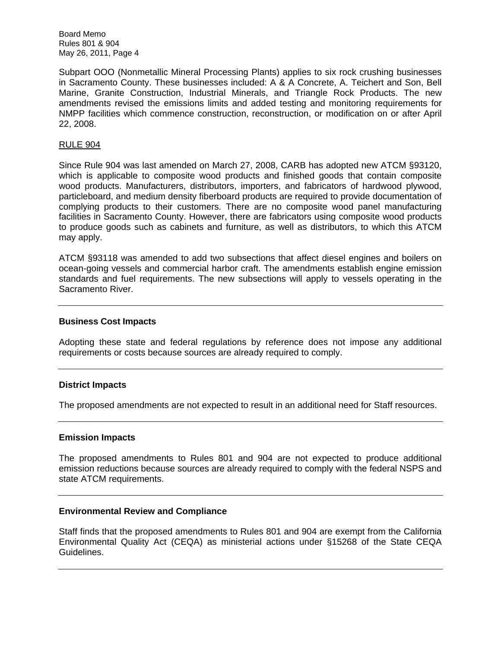Subpart OOO (Nonmetallic Mineral Processing Plants) applies to six rock crushing businesses in Sacramento County. These businesses included: A & A Concrete, A. Teichert and Son, Bell Marine, Granite Construction, Industrial Minerals, and Triangle Rock Products. The new amendments revised the emissions limits and added testing and monitoring requirements for NMPP facilities which commence construction, reconstruction, or modification on or after April 22, 2008.

# RULE 904

Since Rule 904 was last amended on March 27, 2008, CARB has adopted new ATCM §93120, which is applicable to composite wood products and finished goods that contain composite wood products. Manufacturers, distributors, importers, and fabricators of hardwood plywood, particleboard, and medium density fiberboard products are required to provide documentation of complying products to their customers. There are no composite wood panel manufacturing facilities in Sacramento County. However, there are fabricators using composite wood products to produce goods such as cabinets and furniture, as well as distributors, to which this ATCM may apply.

ATCM §93118 was amended to add two subsections that affect diesel engines and boilers on ocean-going vessels and commercial harbor craft. The amendments establish engine emission standards and fuel requirements. The new subsections will apply to vessels operating in the Sacramento River.

### **Business Cost Impacts**

Adopting these state and federal regulations by reference does not impose any additional requirements or costs because sources are already required to comply.

# **District Impacts**

The proposed amendments are not expected to result in an additional need for Staff resources.

#### **Emission Impacts**

The proposed amendments to Rules 801 and 904 are not expected to produce additional emission reductions because sources are already required to comply with the federal NSPS and state ATCM requirements.

# **Environmental Review and Compliance**

Staff finds that the proposed amendments to Rules 801 and 904 are exempt from the California Environmental Quality Act (CEQA) as ministerial actions under §15268 of the State CEQA Guidelines.